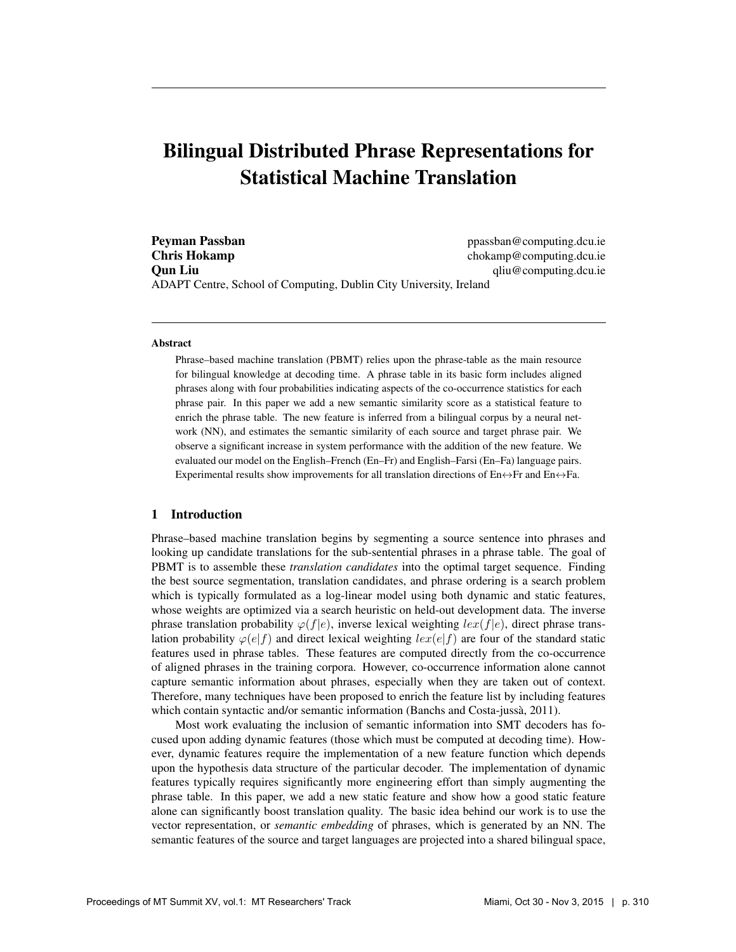# Bilingual Distributed Phrase Representations for Statistical Machine Translation

**Peyman Passban** ppassban ppassban @computing.dcu.ie **Chris Hokamp** chokamp chokamp@computing.dcu.ie **Oun Liu** qliu@computing.dcu.ie ADAPT Centre, School of Computing, Dublin City University, Ireland

#### Abstract

Phrase–based machine translation (PBMT) relies upon the phrase-table as the main resource for bilingual knowledge at decoding time. A phrase table in its basic form includes aligned phrases along with four probabilities indicating aspects of the co-occurrence statistics for each phrase pair. In this paper we add a new semantic similarity score as a statistical feature to enrich the phrase table. The new feature is inferred from a bilingual corpus by a neural network (NN), and estimates the semantic similarity of each source and target phrase pair. We observe a significant increase in system performance with the addition of the new feature. We evaluated our model on the English–French (En–Fr) and English–Farsi (En–Fa) language pairs. Experimental results show improvements for all translation directions of En $\leftrightarrow$ Fr and En $\leftrightarrow$ Fa.

#### 1 Introduction

Phrase–based machine translation begins by segmenting a source sentence into phrases and looking up candidate translations for the sub-sentential phrases in a phrase table. The goal of PBMT is to assemble these *translation candidates* into the optimal target sequence. Finding the best source segmentation, translation candidates, and phrase ordering is a search problem which is typically formulated as a log-linear model using both dynamic and static features, whose weights are optimized via a search heuristic on held-out development data. The inverse phrase translation probability  $\varphi(f|e)$ , inverse lexical weighting  $lex(f|e)$ , direct phrase translation probability  $\varphi(e|f)$  and direct lexical weighting  $lex(e|f)$  are four of the standard static features used in phrase tables. These features are computed directly from the co-occurrence of aligned phrases in the training corpora. However, co-occurrence information alone cannot capture semantic information about phrases, especially when they are taken out of context. Therefore, many techniques have been proposed to enrich the feature list by including features which contain syntactic and/or semantic information (Banchs and Costa-jussà, 2011).

Most work evaluating the inclusion of semantic information into SMT decoders has focused upon adding dynamic features (those which must be computed at decoding time). However, dynamic features require the implementation of a new feature function which depends upon the hypothesis data structure of the particular decoder. The implementation of dynamic features typically requires significantly more engineering effort than simply augmenting the phrase table. In this paper, we add a new static feature and show how a good static feature alone can significantly boost translation quality. The basic idea behind our work is to use the vector representation, or *semantic embedding* of phrases, which is generated by an NN. The semantic features of the source and target languages are projected into a shared bilingual space,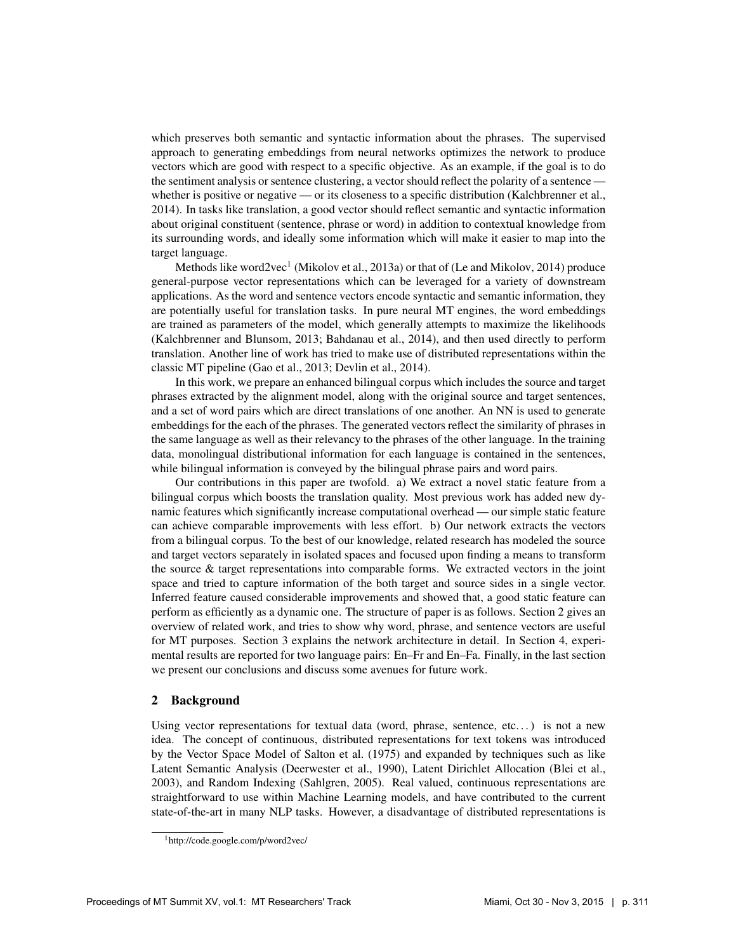which preserves both semantic and syntactic information about the phrases. The supervised approach to generating embeddings from neural networks optimizes the network to produce vectors which are good with respect to a specific objective. As an example, if the goal is to do the sentiment analysis or sentence clustering, a vector should reflect the polarity of a sentence whether is positive or negative — or its closeness to a specific distribution (Kalchbrenner et al., 2014). In tasks like translation, a good vector should reflect semantic and syntactic information about original constituent (sentence, phrase or word) in addition to contextual knowledge from its surrounding words, and ideally some information which will make it easier to map into the target language.

Methods like word2vec<sup>1</sup> (Mikolov et al., 2013a) or that of (Le and Mikolov, 2014) produce general-purpose vector representations which can be leveraged for a variety of downstream applications. As the word and sentence vectors encode syntactic and semantic information, they are potentially useful for translation tasks. In pure neural MT engines, the word embeddings are trained as parameters of the model, which generally attempts to maximize the likelihoods (Kalchbrenner and Blunsom, 2013; Bahdanau et al., 2014), and then used directly to perform translation. Another line of work has tried to make use of distributed representations within the classic MT pipeline (Gao et al., 2013; Devlin et al., 2014).

In this work, we prepare an enhanced bilingual corpus which includes the source and target phrases extracted by the alignment model, along with the original source and target sentences, and a set of word pairs which are direct translations of one another. An NN is used to generate embeddings for the each of the phrases. The generated vectors reflect the similarity of phrases in the same language as well as their relevancy to the phrases of the other language. In the training data, monolingual distributional information for each language is contained in the sentences, while bilingual information is conveyed by the bilingual phrase pairs and word pairs.

Our contributions in this paper are twofold. a) We extract a novel static feature from a bilingual corpus which boosts the translation quality. Most previous work has added new dynamic features which significantly increase computational overhead — our simple static feature can achieve comparable improvements with less effort. b) Our network extracts the vectors from a bilingual corpus. To the best of our knowledge, related research has modeled the source and target vectors separately in isolated spaces and focused upon finding a means to transform the source & target representations into comparable forms. We extracted vectors in the joint space and tried to capture information of the both target and source sides in a single vector. Inferred feature caused considerable improvements and showed that, a good static feature can perform as efficiently as a dynamic one. The structure of paper is as follows. Section 2 gives an overview of related work, and tries to show why word, phrase, and sentence vectors are useful for MT purposes. Section 3 explains the network architecture in detail. In Section 4, experimental results are reported for two language pairs: En–Fr and En–Fa. Finally, in the last section we present our conclusions and discuss some avenues for future work.

### 2 Background

Using vector representations for textual data (word, phrase, sentence, etc...) is not a new idea. The concept of continuous, distributed representations for text tokens was introduced by the Vector Space Model of Salton et al. (1975) and expanded by techniques such as like Latent Semantic Analysis (Deerwester et al., 1990), Latent Dirichlet Allocation (Blei et al., 2003), and Random Indexing (Sahlgren, 2005). Real valued, continuous representations are straightforward to use within Machine Learning models, and have contributed to the current state-of-the-art in many NLP tasks. However, a disadvantage of distributed representations is

<sup>1</sup>http://code.google.com/p/word2vec/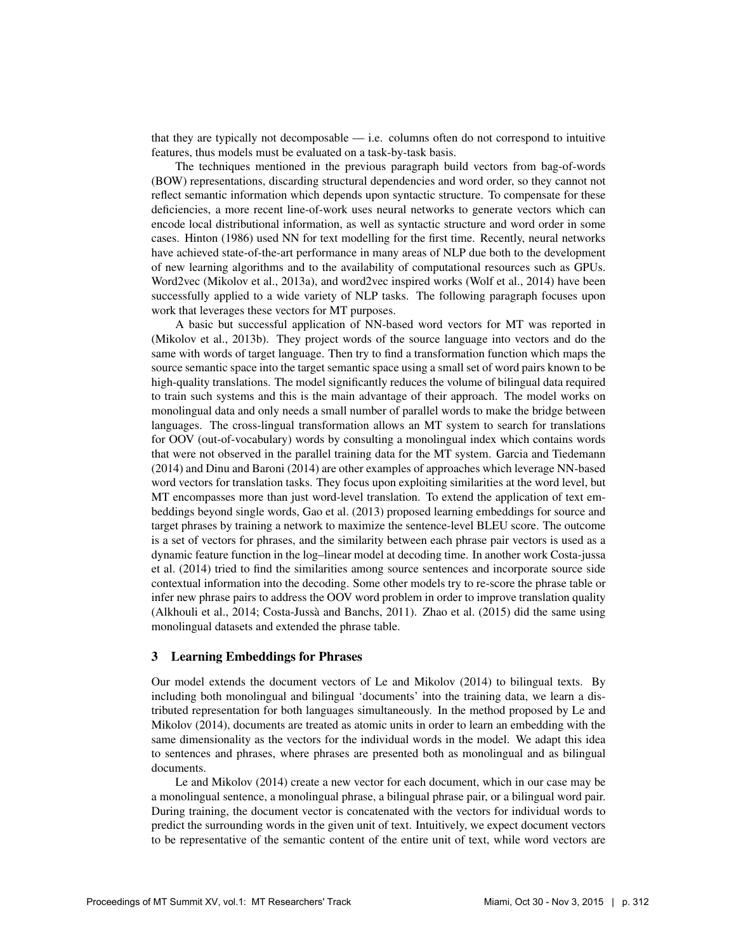that they are typically not decomposable — i.e. columns often do not correspond to intuitive features, thus models must be evaluated on a task-by-task basis.

The techniques mentioned in the previous paragraph build vectors from bag-of-words (BOW) representations, discarding structural dependencies and word order, so they cannot not reflect semantic information which depends upon syntactic structure. To compensate for these deficiencies, a more recent line-of-work uses neural networks to generate vectors which can encode local distributional information, as well as syntactic structure and word order in some cases. Hinton (1986) used NN for text modelling for the first time. Recently, neural networks have achieved state-of-the-art performance in many areas of NLP due both to the development of new learning algorithms and to the availability of computational resources such as GPUs. Word2vec (Mikolov et al., 2013a), and word2vec inspired works (Wolf et al., 2014) have been successfully applied to a wide variety of NLP tasks. The following paragraph focuses upon work that leverages these vectors for MT purposes.

A basic but successful application of NN-based word vectors for MT was reported in (Mikolov et al., 2013b). They project words of the source language into vectors and do the same with words of target language. Then try to find a transformation function which maps the source semantic space into the target semantic space using a small set of word pairs known to be high-quality translations. The model significantly reduces the volume of bilingual data required to train such systems and this is the main advantage of their approach. The model works on monolingual data and only needs a small number of parallel words to make the bridge between languages. The cross-lingual transformation allows an MT system to search for translations for OOV (out-of-vocabulary) words by consulting a monolingual index which contains words that were not observed in the parallel training data for the MT system. Garcia and Tiedemann (2014) and Dinu and Baroni (2014) are other examples of approaches which leverage NN-based word vectors for translation tasks. They focus upon exploiting similarities at the word level, but MT encompasses more than just word-level translation. To extend the application of text embeddings beyond single words, Gao et al. (2013) proposed learning embeddings for source and target phrases by training a network to maximize the sentence-level BLEU score. The outcome is a set of vectors for phrases, and the similarity between each phrase pair vectors is used as a dynamic feature function in the log–linear model at decoding time. In another work Costa-jussa et al. (2014) tried to find the similarities among source sentences and incorporate source side contextual information into the decoding. Some other models try to re-score the phrase table or infer new phrase pairs to address the OOV word problem in order to improve translation quality (Alkhouli et al., 2014; Costa-Jussà and Banchs, 2011). Zhao et al. (2015) did the same using monolingual datasets and extended the phrase table.

### 3 Learning Embeddings for Phrases

Our model extends the document vectors of Le and Mikolov (2014) to bilingual texts. By including both monolingual and bilingual 'documents' into the training data, we learn a distributed representation for both languages simultaneously. In the method proposed by Le and Mikolov (2014), documents are treated as atomic units in order to learn an embedding with the same dimensionality as the vectors for the individual words in the model. We adapt this idea to sentences and phrases, where phrases are presented both as monolingual and as bilingual documents.

Le and Mikolov (2014) create a new vector for each document, which in our case may be a monolingual sentence, a monolingual phrase, a bilingual phrase pair, or a bilingual word pair. During training, the document vector is concatenated with the vectors for individual words to predict the surrounding words in the given unit of text. Intuitively, we expect document vectors to be representative of the semantic content of the entire unit of text, while word vectors are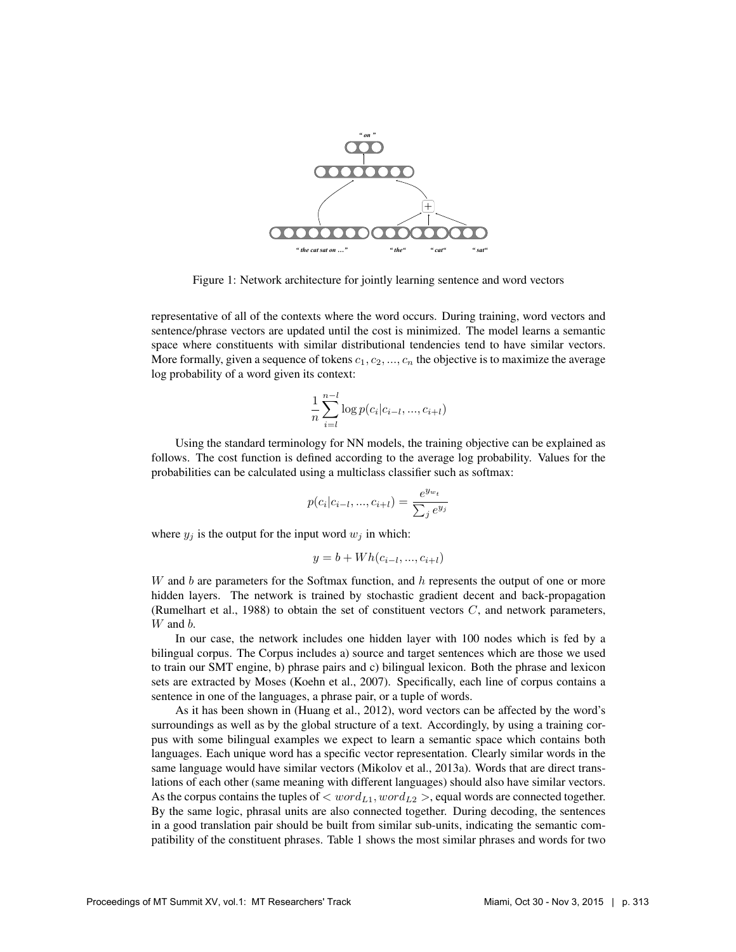

Figure 1: Network architecture for jointly learning sentence and word vectors

representative of all of the contexts where the word occurs. During training, word vectors and sentence/phrase vectors are updated until the cost is minimized. The model learns a semantic space where constituents with similar distributional tendencies tend to have similar vectors. More formally, given a sequence of tokens  $c_1, c_2, ..., c_n$  the objective is to maximize the average log probability of a word given its context:

$$
\frac{1}{n} \sum_{i=l}^{n-l} \log p(c_i | c_{i-l}, ..., c_{i+l})
$$

Using the standard terminology for NN models, the training objective can be explained as follows. The cost function is defined according to the average log probability. Values for the probabilities can be calculated using a multiclass classifier such as softmax:

$$
p(c_i|c_{i-l},...,c_{i+l}) = \frac{e^{y_{w_t}}}{\sum_j e^{y_j}}
$$

where  $y_i$  is the output for the input word  $w_i$  in which:

$$
y = b + Wh(c_{i-l}, ..., c_{i+l})
$$

 $W$  and  $b$  are parameters for the Softmax function, and  $h$  represents the output of one or more hidden layers. The network is trained by stochastic gradient decent and back-propagation (Rumelhart et al., 1988) to obtain the set of constituent vectors  $C$ , and network parameters, W and  $b$ .

In our case, the network includes one hidden layer with 100 nodes which is fed by a bilingual corpus. The Corpus includes a) source and target sentences which are those we used to train our SMT engine, b) phrase pairs and c) bilingual lexicon. Both the phrase and lexicon sets are extracted by Moses (Koehn et al., 2007). Specifically, each line of corpus contains a sentence in one of the languages, a phrase pair, or a tuple of words.

As it has been shown in (Huang et al., 2012), word vectors can be affected by the word's surroundings as well as by the global structure of a text. Accordingly, by using a training corpus with some bilingual examples we expect to learn a semantic space which contains both languages. Each unique word has a specific vector representation. Clearly similar words in the same language would have similar vectors (Mikolov et al., 2013a). Words that are direct translations of each other (same meaning with different languages) should also have similar vectors. As the corpus contains the tuples of  $\langle word_{L1}, word_{L2} \rangle$ , equal words are connected together. By the same logic, phrasal units are also connected together. During decoding, the sentences in a good translation pair should be built from similar sub-units, indicating the semantic compatibility of the constituent phrases. Table 1 shows the most similar phrases and words for two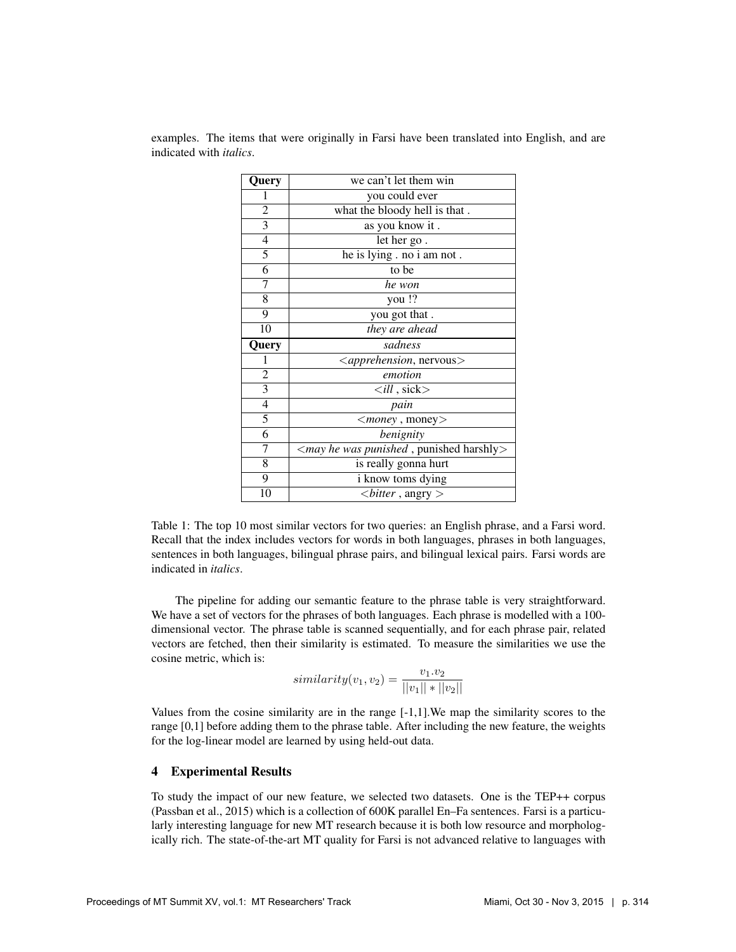| <b>Query</b>   | we can't let them win                                        |  |  |
|----------------|--------------------------------------------------------------|--|--|
| 1              | you could ever                                               |  |  |
| $\overline{2}$ | what the bloody hell is that.                                |  |  |
| $\overline{3}$ | as you know it.                                              |  |  |
| 4              | let her go.                                                  |  |  |
| 5              | he is lying . no i am not.                                   |  |  |
| $\overline{6}$ | to be                                                        |  |  |
| 7              | he won                                                       |  |  |
| 8              | you !?                                                       |  |  |
| $\overline{9}$ | you got that.                                                |  |  |
| 10             | they are ahead                                               |  |  |
|                |                                                              |  |  |
| Query          | sadness                                                      |  |  |
| 1              | <apprehension, nervous=""></apprehension,>                   |  |  |
| $\overline{2}$ | emotion                                                      |  |  |
| 3              | $\langle$ ill, sick $>$                                      |  |  |
| $\overline{4}$ | pain                                                         |  |  |
| 5              | $\langle$ <i>money</i> , money $>$                           |  |  |
| 6              | benignity                                                    |  |  |
| 7              | <may harshly="" he="" punished="" punished,="" was=""></may> |  |  |
| $\overline{8}$ | is really gonna hurt                                         |  |  |
| $\overline{9}$ | i know toms dying                                            |  |  |

examples. The items that were originally in Farsi have been translated into English, and are indicated with *italics*.

Table 1: The top 10 most similar vectors for two queries: an English phrase, and a Farsi word. Recall that the index includes vectors for words in both languages, phrases in both languages, sentences in both languages, bilingual phrase pairs, and bilingual lexical pairs. Farsi words are indicated in *italics*.

The pipeline for adding our semantic feature to the phrase table is very straightforward. We have a set of vectors for the phrases of both languages. Each phrase is modelled with a 100 dimensional vector. The phrase table is scanned sequentially, and for each phrase pair, related vectors are fetched, then their similarity is estimated. To measure the similarities we use the cosine metric, which is:

$$
similarity(v_1, v_2) = \frac{v_1.v_2}{||v_1|| * ||v_2||}
$$

Values from the cosine similarity are in the range [-1,1].We map the similarity scores to the range [0,1] before adding them to the phrase table. After including the new feature, the weights for the log-linear model are learned by using held-out data.

#### 4 Experimental Results

To study the impact of our new feature, we selected two datasets. One is the TEP++ corpus (Passban et al., 2015) which is a collection of 600K parallel En–Fa sentences. Farsi is a particularly interesting language for new MT research because it is both low resource and morphologically rich. The state-of-the-art MT quality for Farsi is not advanced relative to languages with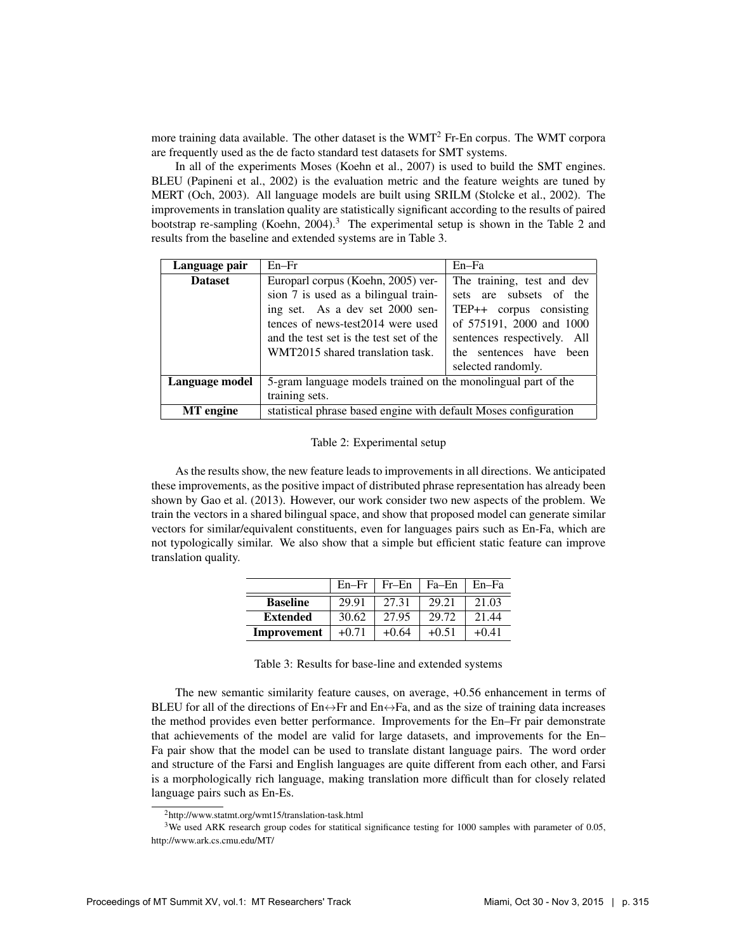more training data available. The other dataset is the  $WMT<sup>2</sup>$  Fr-En corpus. The WMT corpora are frequently used as the de facto standard test datasets for SMT systems.

In all of the experiments Moses (Koehn et al., 2007) is used to build the SMT engines. BLEU (Papineni et al., 2002) is the evaluation metric and the feature weights are tuned by MERT (Och, 2003). All language models are built using SRILM (Stolcke et al., 2002). The improvements in translation quality are statistically significant according to the results of paired bootstrap re-sampling (Koehn, 2004).<sup>3</sup> The experimental setup is shown in the Table 2 and results from the baseline and extended systems are in Table 3.

| Language pair    | $En-Fr$                                                          | En–Fa                       |  |  |  |
|------------------|------------------------------------------------------------------|-----------------------------|--|--|--|
| <b>Dataset</b>   | Europarl corpus (Koehn, 2005) ver-                               | The training, test and dev  |  |  |  |
|                  | sion 7 is used as a bilingual train-                             | sets are subsets of the     |  |  |  |
|                  | ing set. As a dev set 2000 sen-                                  | TEP++ corpus consisting     |  |  |  |
|                  | tences of news-test2014 were used                                | of 575191, 2000 and 1000    |  |  |  |
|                  | and the test set is the test set of the                          | sentences respectively. All |  |  |  |
|                  | WMT2015 shared translation task.                                 | the sentences have been     |  |  |  |
|                  |                                                                  | selected randomly.          |  |  |  |
| Language model   | 5-gram language models trained on the monolingual part of the    |                             |  |  |  |
|                  | training sets.                                                   |                             |  |  |  |
| <b>MT</b> engine | statistical phrase based engine with default Moses configuration |                             |  |  |  |

#### Table 2: Experimental setup

As the results show, the new feature leads to improvements in all directions. We anticipated these improvements, as the positive impact of distributed phrase representation has already been shown by Gao et al. (2013). However, our work consider two new aspects of the problem. We train the vectors in a shared bilingual space, and show that proposed model can generate similar vectors for similar/equivalent constituents, even for languages pairs such as En-Fa, which are not typologically similar. We also show that a simple but efficient static feature can improve translation quality.

|                 | $En-Fr$ | Fr–En   | Fa–En   | $En-Fa$ |
|-----------------|---------|---------|---------|---------|
| <b>Baseline</b> | 29.91   | 27.31   | 29.21   | 21.03   |
| <b>Extended</b> | 30.62   | 27.95   | 29.72   | 21.44   |
| Improvement     | $+0.71$ | $+0.64$ | $+0.51$ | $+0.41$ |

Table 3: Results for base-line and extended systems

The new semantic similarity feature causes, on average, +0.56 enhancement in terms of BLEU for all of the directions of  $En \leftrightarrow Fr$  and  $En \leftrightarrow Fa$ , and as the size of training data increases the method provides even better performance. Improvements for the En–Fr pair demonstrate that achievements of the model are valid for large datasets, and improvements for the En– Fa pair show that the model can be used to translate distant language pairs. The word order and structure of the Farsi and English languages are quite different from each other, and Farsi is a morphologically rich language, making translation more difficult than for closely related language pairs such as En-Es.

<sup>2</sup>http://www.statmt.org/wmt15/translation-task.html

<sup>&</sup>lt;sup>3</sup>We used ARK research group codes for statitical significance testing for 1000 samples with parameter of 0.05, http://www.ark.cs.cmu.edu/MT/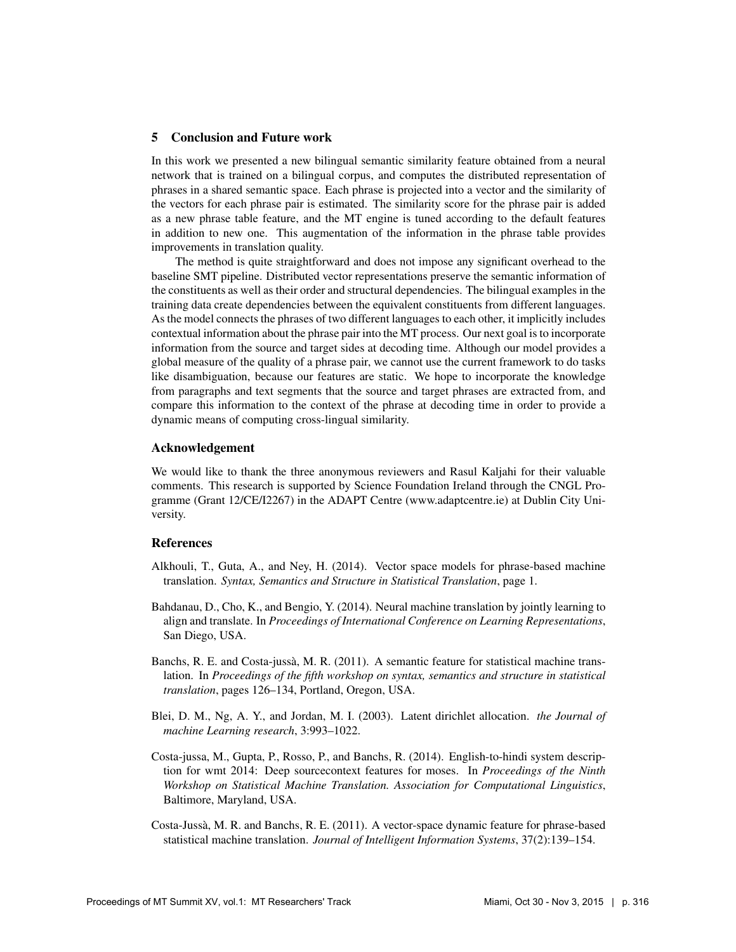#### 5 Conclusion and Future work

In this work we presented a new bilingual semantic similarity feature obtained from a neural network that is trained on a bilingual corpus, and computes the distributed representation of phrases in a shared semantic space. Each phrase is projected into a vector and the similarity of the vectors for each phrase pair is estimated. The similarity score for the phrase pair is added as a new phrase table feature, and the MT engine is tuned according to the default features in addition to new one. This augmentation of the information in the phrase table provides improvements in translation quality.

The method is quite straightforward and does not impose any significant overhead to the baseline SMT pipeline. Distributed vector representations preserve the semantic information of the constituents as well as their order and structural dependencies. The bilingual examples in the training data create dependencies between the equivalent constituents from different languages. As the model connects the phrases of two different languages to each other, it implicitly includes contextual information about the phrase pair into the MT process. Our next goal is to incorporate information from the source and target sides at decoding time. Although our model provides a global measure of the quality of a phrase pair, we cannot use the current framework to do tasks like disambiguation, because our features are static. We hope to incorporate the knowledge from paragraphs and text segments that the source and target phrases are extracted from, and compare this information to the context of the phrase at decoding time in order to provide a dynamic means of computing cross-lingual similarity.

### Acknowledgement

We would like to thank the three anonymous reviewers and Rasul Kaljahi for their valuable comments. This research is supported by Science Foundation Ireland through the CNGL Programme (Grant 12/CE/I2267) in the ADAPT Centre (www.adaptcentre.ie) at Dublin City University.

## References

- Alkhouli, T., Guta, A., and Ney, H. (2014). Vector space models for phrase-based machine translation. *Syntax, Semantics and Structure in Statistical Translation*, page 1.
- Bahdanau, D., Cho, K., and Bengio, Y. (2014). Neural machine translation by jointly learning to align and translate. In *Proceedings of International Conference on Learning Representations*, San Diego, USA.
- Banchs, R. E. and Costa-jussà, M. R. (2011). A semantic feature for statistical machine translation. In *Proceedings of the fifth workshop on syntax, semantics and structure in statistical translation*, pages 126–134, Portland, Oregon, USA.
- Blei, D. M., Ng, A. Y., and Jordan, M. I. (2003). Latent dirichlet allocation. *the Journal of machine Learning research*, 3:993–1022.
- Costa-jussa, M., Gupta, P., Rosso, P., and Banchs, R. (2014). English-to-hindi system description for wmt 2014: Deep sourcecontext features for moses. In *Proceedings of the Ninth Workshop on Statistical Machine Translation. Association for Computational Linguistics*, Baltimore, Maryland, USA.
- Costa-Jussa, M. R. and Banchs, R. E. (2011). A vector-space dynamic feature for phrase-based ` statistical machine translation. *Journal of Intelligent Information Systems*, 37(2):139–154.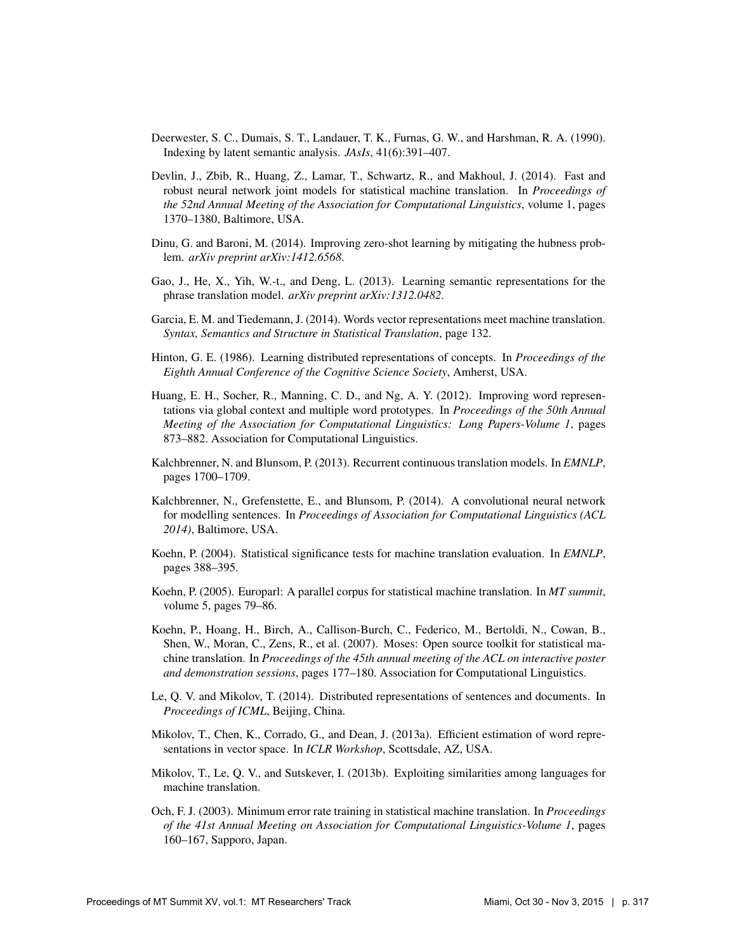- Deerwester, S. C., Dumais, S. T., Landauer, T. K., Furnas, G. W., and Harshman, R. A. (1990). Indexing by latent semantic analysis. *JAsIs*, 41(6):391–407.
- Devlin, J., Zbib, R., Huang, Z., Lamar, T., Schwartz, R., and Makhoul, J. (2014). Fast and robust neural network joint models for statistical machine translation. In *Proceedings of the 52nd Annual Meeting of the Association for Computational Linguistics*, volume 1, pages 1370–1380, Baltimore, USA.
- Dinu, G. and Baroni, M. (2014). Improving zero-shot learning by mitigating the hubness problem. *arXiv preprint arXiv:1412.6568*.
- Gao, J., He, X., Yih, W.-t., and Deng, L. (2013). Learning semantic representations for the phrase translation model. *arXiv preprint arXiv:1312.0482*.
- Garcia, E. M. and Tiedemann, J. (2014). Words vector representations meet machine translation. *Syntax, Semantics and Structure in Statistical Translation*, page 132.
- Hinton, G. E. (1986). Learning distributed representations of concepts. In *Proceedings of the Eighth Annual Conference of the Cognitive Science Society*, Amherst, USA.
- Huang, E. H., Socher, R., Manning, C. D., and Ng, A. Y. (2012). Improving word representations via global context and multiple word prototypes. In *Proceedings of the 50th Annual Meeting of the Association for Computational Linguistics: Long Papers-Volume 1*, pages 873–882. Association for Computational Linguistics.
- Kalchbrenner, N. and Blunsom, P. (2013). Recurrent continuous translation models. In *EMNLP*, pages 1700–1709.
- Kalchbrenner, N., Grefenstette, E., and Blunsom, P. (2014). A convolutional neural network for modelling sentences. In *Proceedings of Association for Computational Linguistics (ACL 2014)*, Baltimore, USA.
- Koehn, P. (2004). Statistical significance tests for machine translation evaluation. In *EMNLP*, pages 388–395.
- Koehn, P. (2005). Europarl: A parallel corpus for statistical machine translation. In *MT summit*, volume 5, pages 79–86.
- Koehn, P., Hoang, H., Birch, A., Callison-Burch, C., Federico, M., Bertoldi, N., Cowan, B., Shen, W., Moran, C., Zens, R., et al. (2007). Moses: Open source toolkit for statistical machine translation. In *Proceedings of the 45th annual meeting of the ACL on interactive poster and demonstration sessions*, pages 177–180. Association for Computational Linguistics.
- Le, Q. V. and Mikolov, T. (2014). Distributed representations of sentences and documents. In *Proceedings of ICML*, Beijing, China.
- Mikolov, T., Chen, K., Corrado, G., and Dean, J. (2013a). Efficient estimation of word representations in vector space. In *ICLR Workshop*, Scottsdale, AZ, USA.
- Mikolov, T., Le, Q. V., and Sutskever, I. (2013b). Exploiting similarities among languages for machine translation.
- Och, F. J. (2003). Minimum error rate training in statistical machine translation. In *Proceedings of the 41st Annual Meeting on Association for Computational Linguistics-Volume 1*, pages 160–167, Sapporo, Japan.